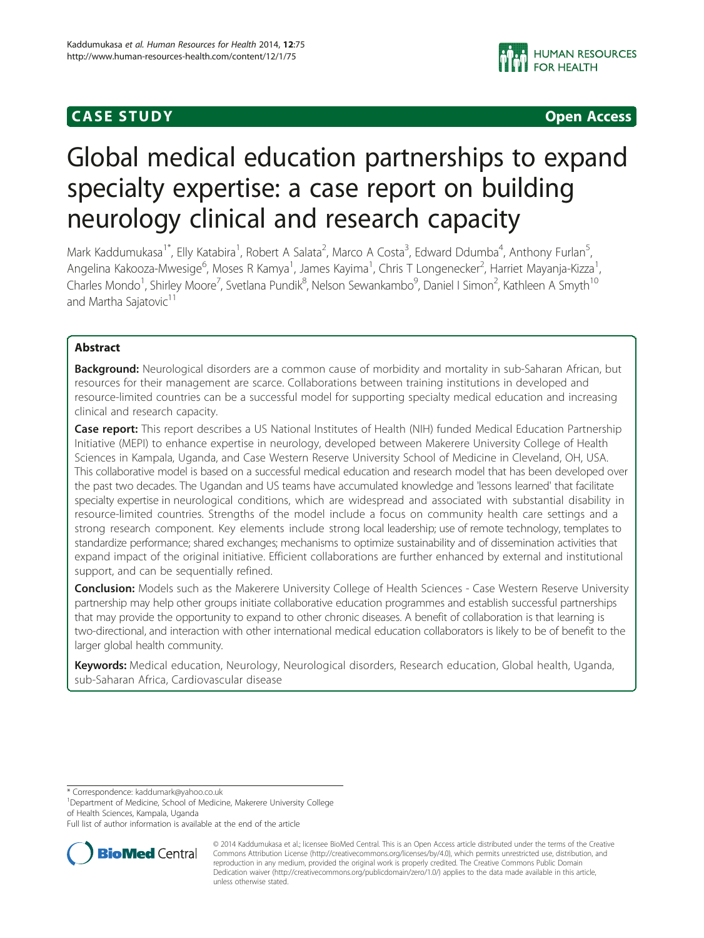## **CASE STUDY CASE STUDY Open Access**



# Global medical education partnerships to expand specialty expertise: a case report on building neurology clinical and research capacity

Mark Kaddumukasa<sup>1\*</sup>, Elly Katabira<sup>1</sup>, Robert A Salata<sup>2</sup>, Marco A Costa<sup>3</sup>, Edward Ddumba<sup>4</sup>, Anthony Furlan<sup>5</sup> , Angelina Kakooza-Mwesige<sup>6</sup>, Moses R Kamya<sup>1</sup>, James Kayima<sup>1</sup>, Chris T Longenecker<sup>2</sup>, Harriet Mayanja-Kizza<sup>1</sup> , Charles Mondo<sup>1</sup>, Shirley Moore<sup>7</sup>, Svetlana Pundik<sup>8</sup>, Nelson Sewankambo<sup>9</sup>, Daniel I Simon<sup>2</sup>, Kathleen A Smyth<sup>10</sup> and Martha Sajatovic<sup>11</sup>

## Abstract

**Background:** Neurological disorders are a common cause of morbidity and mortality in sub-Saharan African, but resources for their management are scarce. Collaborations between training institutions in developed and resource-limited countries can be a successful model for supporting specialty medical education and increasing clinical and research capacity.

Case report: This report describes a US National Institutes of Health (NIH) funded Medical Education Partnership Initiative (MEPI) to enhance expertise in neurology, developed between Makerere University College of Health Sciences in Kampala, Uganda, and Case Western Reserve University School of Medicine in Cleveland, OH, USA. This collaborative model is based on a successful medical education and research model that has been developed over the past two decades. The Ugandan and US teams have accumulated knowledge and 'lessons learned' that facilitate specialty expertise in neurological conditions, which are widespread and associated with substantial disability in resource-limited countries. Strengths of the model include a focus on community health care settings and a strong research component. Key elements include strong local leadership; use of remote technology, templates to standardize performance; shared exchanges; mechanisms to optimize sustainability and of dissemination activities that expand impact of the original initiative. Efficient collaborations are further enhanced by external and institutional support, and can be sequentially refined.

**Conclusion:** Models such as the Makerere University College of Health Sciences - Case Western Reserve University partnership may help other groups initiate collaborative education programmes and establish successful partnerships that may provide the opportunity to expand to other chronic diseases. A benefit of collaboration is that learning is two-directional, and interaction with other international medical education collaborators is likely to be of benefit to the larger global health community.

Keywords: Medical education, Neurology, Neurological disorders, Research education, Global health, Uganda, sub-Saharan Africa, Cardiovascular disease

\* Correspondence: [kaddumark@yahoo.co.uk](mailto:kaddumark@yahoo.co.uk) <sup>1</sup>

<sup>1</sup>Department of Medicine, School of Medicine, Makerere University College of Health Sciences, Kampala, Uganda

Full list of author information is available at the end of the article



© 2014 Kaddumukasa et al.; licensee BioMed Central. This is an Open Access article distributed under the terms of the Creative Commons Attribution License [\(http://creativecommons.org/licenses/by/4.0\)](http://creativecommons.org/licenses/by/4.0), which permits unrestricted use, distribution, and reproduction in any medium, provided the original work is properly credited. The Creative Commons Public Domain Dedication waiver [\(http://creativecommons.org/publicdomain/zero/1.0/](http://creativecommons.org/publicdomain/zero/1.0/)) applies to the data made available in this article, unless otherwise stated.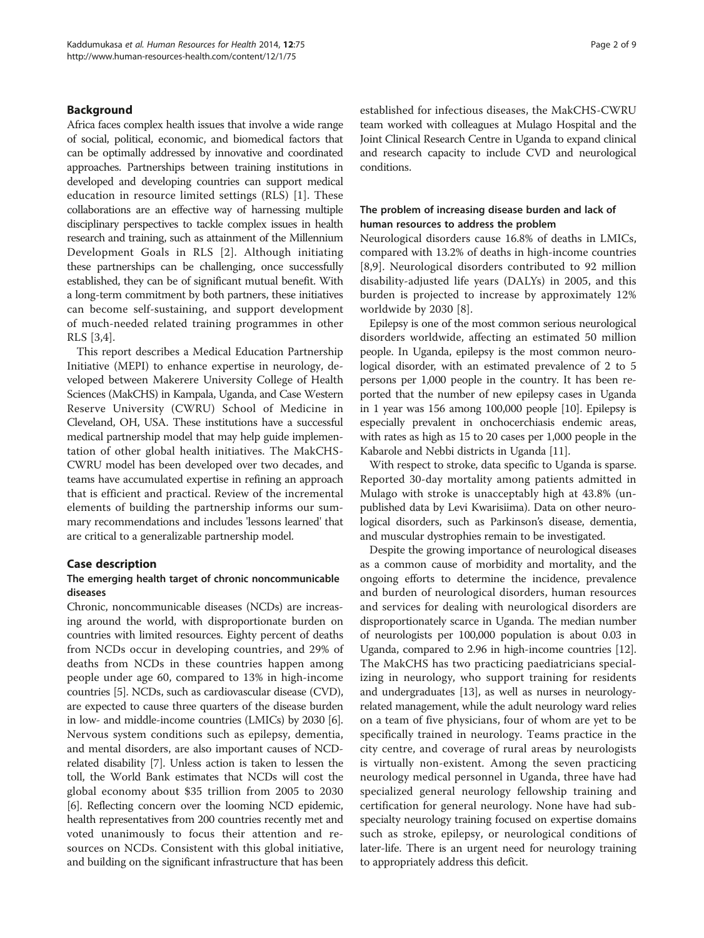## Background

Africa faces complex health issues that involve a wide range of social, political, economic, and biomedical factors that can be optimally addressed by innovative and coordinated approaches. Partnerships between training institutions in developed and developing countries can support medical education in resource limited settings (RLS) [[1\]](#page-7-0). These collaborations are an effective way of harnessing multiple disciplinary perspectives to tackle complex issues in health research and training, such as attainment of the Millennium Development Goals in RLS [[2\]](#page-7-0). Although initiating these partnerships can be challenging, once successfully established, they can be of significant mutual benefit. With a long-term commitment by both partners, these initiatives can become self-sustaining, and support development of much-needed related training programmes in other RLS [[3,4](#page-7-0)].

This report describes a Medical Education Partnership Initiative (MEPI) to enhance expertise in neurology, developed between Makerere University College of Health Sciences (MakCHS) in Kampala, Uganda, and Case Western Reserve University (CWRU) School of Medicine in Cleveland, OH, USA. These institutions have a successful medical partnership model that may help guide implementation of other global health initiatives. The MakCHS-CWRU model has been developed over two decades, and teams have accumulated expertise in refining an approach that is efficient and practical. Review of the incremental elements of building the partnership informs our summary recommendations and includes 'lessons learned' that are critical to a generalizable partnership model.

#### Case description

## The emerging health target of chronic noncommunicable diseases

Chronic, noncommunicable diseases (NCDs) are increasing around the world, with disproportionate burden on countries with limited resources. Eighty percent of deaths from NCDs occur in developing countries, and 29% of deaths from NCDs in these countries happen among people under age 60, compared to 13% in high-income countries [\[5\]](#page-7-0). NCDs, such as cardiovascular disease (CVD), are expected to cause three quarters of the disease burden in low- and middle-income countries (LMICs) by 2030 [[6](#page-7-0)]. Nervous system conditions such as epilepsy, dementia, and mental disorders, are also important causes of NCDrelated disability [\[7\]](#page-7-0). Unless action is taken to lessen the toll, the World Bank estimates that NCDs will cost the global economy about \$35 trillion from 2005 to 2030 [[6](#page-7-0)]. Reflecting concern over the looming NCD epidemic, health representatives from 200 countries recently met and voted unanimously to focus their attention and resources on NCDs. Consistent with this global initiative, and building on the significant infrastructure that has been established for infectious diseases, the MakCHS-CWRU team worked with colleagues at Mulago Hospital and the Joint Clinical Research Centre in Uganda to expand clinical and research capacity to include CVD and neurological conditions.

## The problem of increasing disease burden and lack of human resources to address the problem

Neurological disorders cause 16.8% of deaths in LMICs, compared with 13.2% of deaths in high-income countries [[8](#page-7-0)[,9](#page-8-0)]. Neurological disorders contributed to 92 million disability-adjusted life years (DALYs) in 2005, and this burden is projected to increase by approximately 12% worldwide by 2030 [[8\]](#page-7-0).

Epilepsy is one of the most common serious neurological disorders worldwide, affecting an estimated 50 million people. In Uganda, epilepsy is the most common neurological disorder, with an estimated prevalence of 2 to 5 persons per 1,000 people in the country. It has been reported that the number of new epilepsy cases in Uganda in 1 year was 156 among 100,000 people [\[10\]](#page-8-0). Epilepsy is especially prevalent in onchocerchiasis endemic areas, with rates as high as 15 to 20 cases per 1,000 people in the Kabarole and Nebbi districts in Uganda [[11](#page-8-0)].

With respect to stroke, data specific to Uganda is sparse. Reported 30-day mortality among patients admitted in Mulago with stroke is unacceptably high at 43.8% (unpublished data by Levi Kwarisiima). Data on other neurological disorders, such as Parkinson's disease, dementia, and muscular dystrophies remain to be investigated.

Despite the growing importance of neurological diseases as a common cause of morbidity and mortality, and the ongoing efforts to determine the incidence, prevalence and burden of neurological disorders, human resources and services for dealing with neurological disorders are disproportionately scarce in Uganda. The median number of neurologists per 100,000 population is about 0.03 in Uganda, compared to 2.96 in high-income countries [[12](#page-8-0)]. The MakCHS has two practicing paediatricians specializing in neurology, who support training for residents and undergraduates [[13](#page-8-0)], as well as nurses in neurologyrelated management, while the adult neurology ward relies on a team of five physicians, four of whom are yet to be specifically trained in neurology. Teams practice in the city centre, and coverage of rural areas by neurologists is virtually non-existent. Among the seven practicing neurology medical personnel in Uganda, three have had specialized general neurology fellowship training and certification for general neurology. None have had subspecialty neurology training focused on expertise domains such as stroke, epilepsy, or neurological conditions of later-life. There is an urgent need for neurology training to appropriately address this deficit.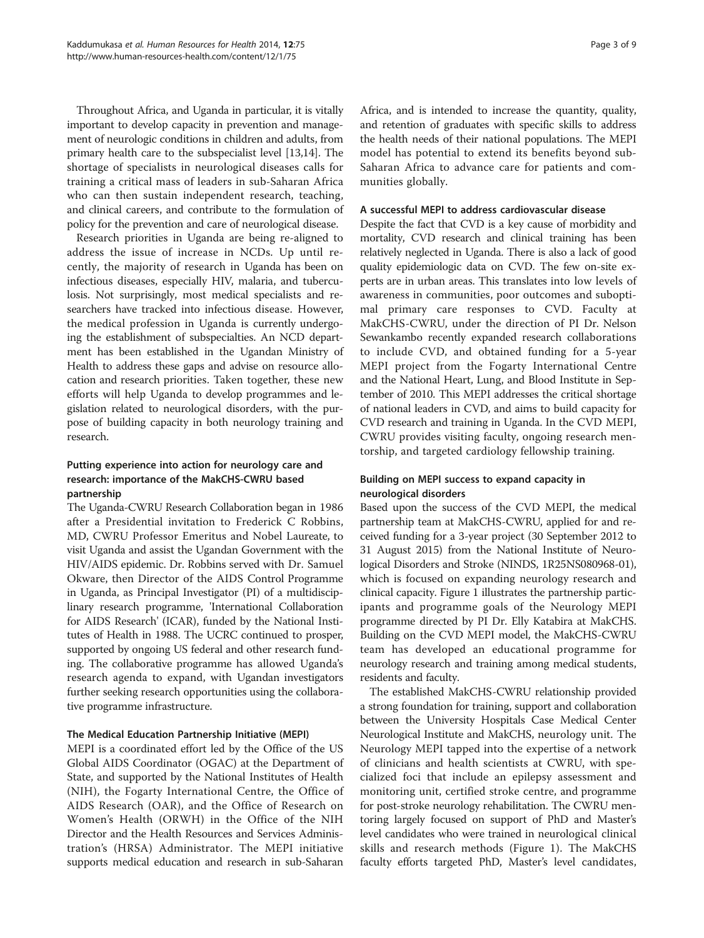Throughout Africa, and Uganda in particular, it is vitally important to develop capacity in prevention and management of neurologic conditions in children and adults, from primary health care to the subspecialist level [[13,14](#page-8-0)]. The shortage of specialists in neurological diseases calls for training a critical mass of leaders in sub-Saharan Africa who can then sustain independent research, teaching, and clinical careers, and contribute to the formulation of policy for the prevention and care of neurological disease.

Research priorities in Uganda are being re-aligned to address the issue of increase in NCDs. Up until recently, the majority of research in Uganda has been on infectious diseases, especially HIV, malaria, and tuberculosis. Not surprisingly, most medical specialists and researchers have tracked into infectious disease. However, the medical profession in Uganda is currently undergoing the establishment of subspecialties. An NCD department has been established in the Ugandan Ministry of Health to address these gaps and advise on resource allocation and research priorities. Taken together, these new efforts will help Uganda to develop programmes and legislation related to neurological disorders, with the purpose of building capacity in both neurology training and research.

## Putting experience into action for neurology care and research: importance of the MakCHS-CWRU based partnership

The Uganda-CWRU Research Collaboration began in 1986 after a Presidential invitation to Frederick C Robbins, MD, CWRU Professor Emeritus and Nobel Laureate, to visit Uganda and assist the Ugandan Government with the HIV/AIDS epidemic. Dr. Robbins served with Dr. Samuel Okware, then Director of the AIDS Control Programme in Uganda, as Principal Investigator (PI) of a multidisciplinary research programme, 'International Collaboration for AIDS Research' (ICAR), funded by the National Institutes of Health in 1988. The UCRC continued to prosper, supported by ongoing US federal and other research funding. The collaborative programme has allowed Uganda's research agenda to expand, with Ugandan investigators further seeking research opportunities using the collaborative programme infrastructure.

## The Medical Education Partnership Initiative (MEPI)

MEPI is a coordinated effort led by the Office of the US Global AIDS Coordinator (OGAC) at the Department of State, and supported by the National Institutes of Health (NIH), the Fogarty International Centre, the Office of AIDS Research (OAR), and the Office of Research on Women's Health (ORWH) in the Office of the NIH Director and the Health Resources and Services Administration's (HRSA) Administrator. The MEPI initiative supports medical education and research in sub-Saharan

Africa, and is intended to increase the quantity, quality, and retention of graduates with specific skills to address the health needs of their national populations. The MEPI model has potential to extend its benefits beyond sub-Saharan Africa to advance care for patients and communities globally.

#### A successful MEPI to address cardiovascular disease

Despite the fact that CVD is a key cause of morbidity and mortality, CVD research and clinical training has been relatively neglected in Uganda. There is also a lack of good quality epidemiologic data on CVD. The few on-site experts are in urban areas. This translates into low levels of awareness in communities, poor outcomes and suboptimal primary care responses to CVD. Faculty at MakCHS-CWRU, under the direction of PI Dr. Nelson Sewankambo recently expanded research collaborations to include CVD, and obtained funding for a 5-year MEPI project from the Fogarty International Centre and the National Heart, Lung, and Blood Institute in September of 2010. This MEPI addresses the critical shortage of national leaders in CVD, and aims to build capacity for CVD research and training in Uganda. In the CVD MEPI, CWRU provides visiting faculty, ongoing research mentorship, and targeted cardiology fellowship training.

## Building on MEPI success to expand capacity in neurological disorders

Based upon the success of the CVD MEPI, the medical partnership team at MakCHS-CWRU, applied for and received funding for a 3-year project (30 September 2012 to 31 August 2015) from the National Institute of Neurological Disorders and Stroke (NINDS, 1R25NS080968-01), which is focused on expanding neurology research and clinical capacity. Figure [1](#page-3-0) illustrates the partnership participants and programme goals of the Neurology MEPI programme directed by PI Dr. Elly Katabira at MakCHS. Building on the CVD MEPI model, the MakCHS-CWRU team has developed an educational programme for neurology research and training among medical students, residents and faculty.

The established MakCHS-CWRU relationship provided a strong foundation for training, support and collaboration between the University Hospitals Case Medical Center Neurological Institute and MakCHS, neurology unit. The Neurology MEPI tapped into the expertise of a network of clinicians and health scientists at CWRU, with specialized foci that include an epilepsy assessment and monitoring unit, certified stroke centre, and programme for post-stroke neurology rehabilitation. The CWRU mentoring largely focused on support of PhD and Master's level candidates who were trained in neurological clinical skills and research methods (Figure [1\)](#page-3-0). The MakCHS faculty efforts targeted PhD, Master's level candidates,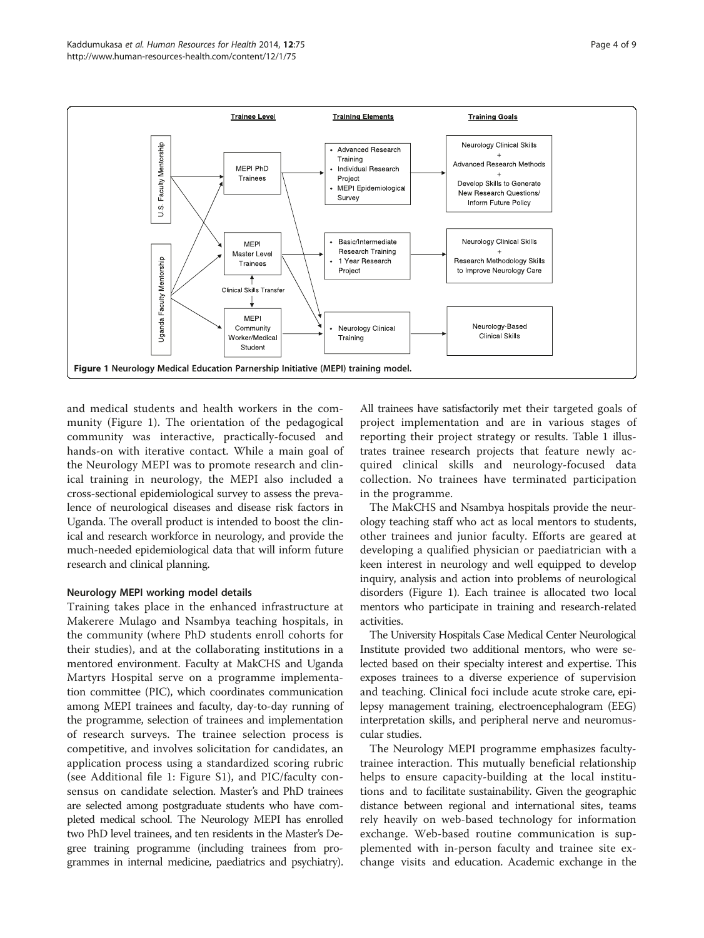<span id="page-3-0"></span>

and medical students and health workers in the community (Figure 1). The orientation of the pedagogical community was interactive, practically-focused and hands-on with iterative contact. While a main goal of the Neurology MEPI was to promote research and clinical training in neurology, the MEPI also included a cross-sectional epidemiological survey to assess the prevalence of neurological diseases and disease risk factors in Uganda. The overall product is intended to boost the clinical and research workforce in neurology, and provide the much-needed epidemiological data that will inform future research and clinical planning.

#### Neurology MEPI working model details

Training takes place in the enhanced infrastructure at Makerere Mulago and Nsambya teaching hospitals, in the community (where PhD students enroll cohorts for their studies), and at the collaborating institutions in a mentored environment. Faculty at MakCHS and Uganda Martyrs Hospital serve on a programme implementation committee (PIC), which coordinates communication among MEPI trainees and faculty, day-to-day running of the programme, selection of trainees and implementation of research surveys. The trainee selection process is competitive, and involves solicitation for candidates, an application process using a standardized scoring rubric (see Additional file [1](#page-7-0): Figure S1), and PIC/faculty consensus on candidate selection. Master's and PhD trainees are selected among postgraduate students who have completed medical school. The Neurology MEPI has enrolled two PhD level trainees, and ten residents in the Master's Degree training programme (including trainees from programmes in internal medicine, paediatrics and psychiatry). All trainees have satisfactorily met their targeted goals of project implementation and are in various stages of reporting their project strategy or results. Table [1](#page-4-0) illustrates trainee research projects that feature newly acquired clinical skills and neurology-focused data collection. No trainees have terminated participation in the programme.

The MakCHS and Nsambya hospitals provide the neurology teaching staff who act as local mentors to students, other trainees and junior faculty. Efforts are geared at developing a qualified physician or paediatrician with a keen interest in neurology and well equipped to develop inquiry, analysis and action into problems of neurological disorders (Figure 1). Each trainee is allocated two local mentors who participate in training and research-related activities.

The University Hospitals Case Medical Center Neurological Institute provided two additional mentors, who were selected based on their specialty interest and expertise. This exposes trainees to a diverse experience of supervision and teaching. Clinical foci include acute stroke care, epilepsy management training, electroencephalogram (EEG) interpretation skills, and peripheral nerve and neuromuscular studies.

The Neurology MEPI programme emphasizes facultytrainee interaction. This mutually beneficial relationship helps to ensure capacity-building at the local institutions and to facilitate sustainability. Given the geographic distance between regional and international sites, teams rely heavily on web-based technology for information exchange. Web-based routine communication is supplemented with in-person faculty and trainee site exchange visits and education. Academic exchange in the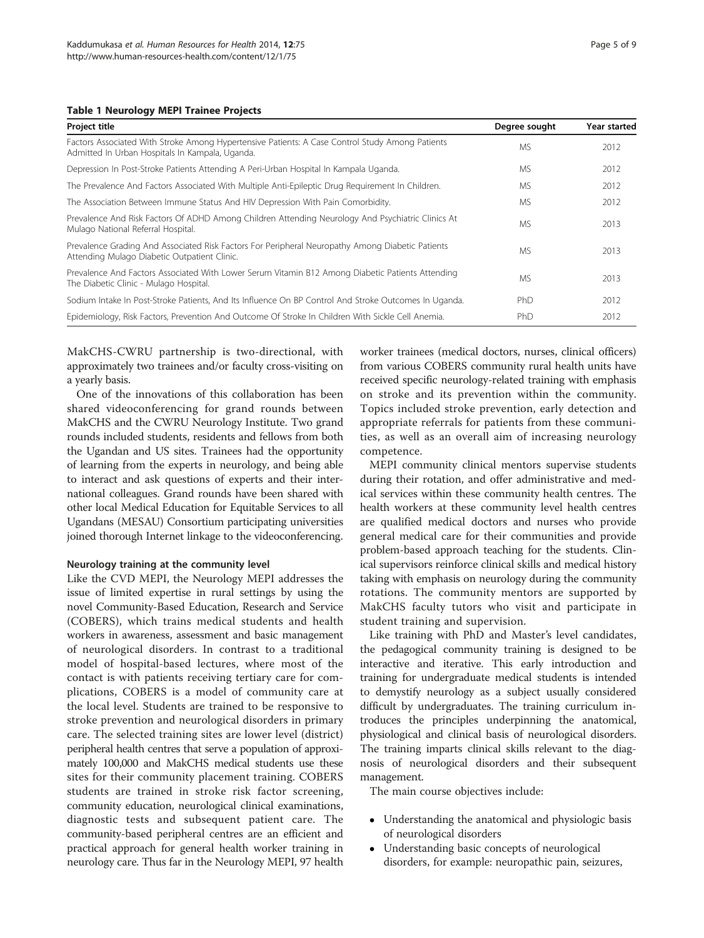#### <span id="page-4-0"></span>Table 1 Neurology MEPI Trainee Projects

| <b>Project title</b>                                                                                                                               | Degree sought | Year started |
|----------------------------------------------------------------------------------------------------------------------------------------------------|---------------|--------------|
| Factors Associated With Stroke Among Hypertensive Patients: A Case Control Study Among Patients<br>Admitted In Urban Hospitals In Kampala, Uganda. | <b>MS</b>     | 2012         |
| Depression In Post-Stroke Patients Attending A Peri-Urban Hospital In Kampala Uganda.                                                              | MS.           | 2012         |
| The Prevalence And Factors Associated With Multiple Anti-Epileptic Drug Reguirement In Children.                                                   | MS.           | 2012         |
| The Association Between Immune Status And HIV Depression With Pain Comorbidity.                                                                    | MS.           | 2012         |
| Prevalence And Risk Factors Of ADHD Among Children Attending Neurology And Psychiatric Clinics At<br>Mulago National Referral Hospital.            | MS.           | 2013         |
| Prevalence Grading And Associated Risk Factors For Peripheral Neuropathy Among Diabetic Patients<br>Attending Mulago Diabetic Outpatient Clinic.   | MS.           | 2013         |
| Prevalence And Factors Associated With Lower Serum Vitamin B12 Among Diabetic Patients Attending<br>The Diabetic Clinic - Mulago Hospital.         | MS.           | 2013         |
| Sodium Intake In Post-Stroke Patients, And Its Influence On BP Control And Stroke Outcomes In Uganda.                                              | PhD           | 2012         |
| Epidemiology, Risk Factors, Prevention And Outcome Of Stroke In Children With Sickle Cell Anemia.                                                  | PhD           | 2012         |

MakCHS-CWRU partnership is two-directional, with approximately two trainees and/or faculty cross-visiting on a yearly basis.

One of the innovations of this collaboration has been shared videoconferencing for grand rounds between MakCHS and the CWRU Neurology Institute. Two grand rounds included students, residents and fellows from both the Ugandan and US sites. Trainees had the opportunity of learning from the experts in neurology, and being able to interact and ask questions of experts and their international colleagues. Grand rounds have been shared with other local Medical Education for Equitable Services to all Ugandans (MESAU) Consortium participating universities joined thorough Internet linkage to the videoconferencing.

#### Neurology training at the community level

Like the CVD MEPI, the Neurology MEPI addresses the issue of limited expertise in rural settings by using the novel Community-Based Education, Research and Service (COBERS), which trains medical students and health workers in awareness, assessment and basic management of neurological disorders. In contrast to a traditional model of hospital-based lectures, where most of the contact is with patients receiving tertiary care for complications, COBERS is a model of community care at the local level. Students are trained to be responsive to stroke prevention and neurological disorders in primary care. The selected training sites are lower level (district) peripheral health centres that serve a population of approximately 100,000 and MakCHS medical students use these sites for their community placement training. COBERS students are trained in stroke risk factor screening, community education, neurological clinical examinations, diagnostic tests and subsequent patient care. The community-based peripheral centres are an efficient and practical approach for general health worker training in neurology care. Thus far in the Neurology MEPI, 97 health

worker trainees (medical doctors, nurses, clinical officers) from various COBERS community rural health units have received specific neurology-related training with emphasis on stroke and its prevention within the community. Topics included stroke prevention, early detection and appropriate referrals for patients from these communities, as well as an overall aim of increasing neurology competence.

MEPI community clinical mentors supervise students during their rotation, and offer administrative and medical services within these community health centres. The health workers at these community level health centres are qualified medical doctors and nurses who provide general medical care for their communities and provide problem-based approach teaching for the students. Clinical supervisors reinforce clinical skills and medical history taking with emphasis on neurology during the community rotations. The community mentors are supported by MakCHS faculty tutors who visit and participate in student training and supervision.

Like training with PhD and Master's level candidates, the pedagogical community training is designed to be interactive and iterative. This early introduction and training for undergraduate medical students is intended to demystify neurology as a subject usually considered difficult by undergraduates. The training curriculum introduces the principles underpinning the anatomical, physiological and clinical basis of neurological disorders. The training imparts clinical skills relevant to the diagnosis of neurological disorders and their subsequent management.

The main course objectives include:

- Understanding the anatomical and physiologic basis of neurological disorders
- Understanding basic concepts of neurological disorders, for example: neuropathic pain, seizures,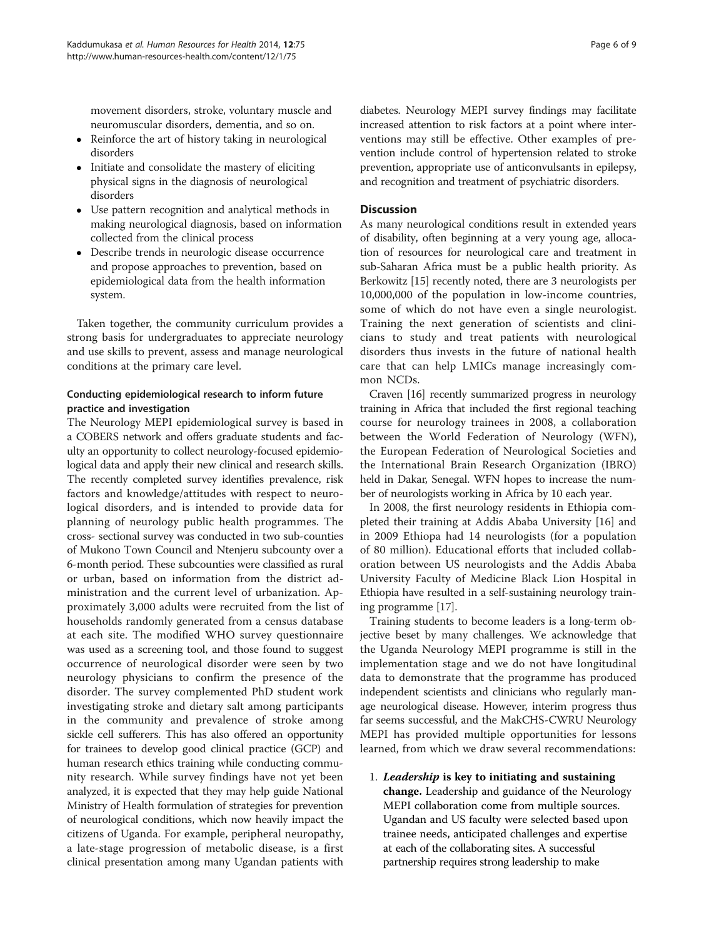movement disorders, stroke, voluntary muscle and neuromuscular disorders, dementia, and so on.

- Reinforce the art of history taking in neurological disorders
- Initiate and consolidate the mastery of eliciting physical signs in the diagnosis of neurological disorders
- Use pattern recognition and analytical methods in making neurological diagnosis, based on information collected from the clinical process
- Describe trends in neurologic disease occurrence and propose approaches to prevention, based on epidemiological data from the health information system.

Taken together, the community curriculum provides a strong basis for undergraduates to appreciate neurology and use skills to prevent, assess and manage neurological conditions at the primary care level.

## Conducting epidemiological research to inform future practice and investigation

The Neurology MEPI epidemiological survey is based in a COBERS network and offers graduate students and faculty an opportunity to collect neurology-focused epidemiological data and apply their new clinical and research skills. The recently completed survey identifies prevalence, risk factors and knowledge/attitudes with respect to neurological disorders, and is intended to provide data for planning of neurology public health programmes. The cross- sectional survey was conducted in two sub-counties of Mukono Town Council and Ntenjeru subcounty over a 6-month period. These subcounties were classified as rural or urban, based on information from the district administration and the current level of urbanization. Approximately 3,000 adults were recruited from the list of households randomly generated from a census database at each site. The modified WHO survey questionnaire was used as a screening tool, and those found to suggest occurrence of neurological disorder were seen by two neurology physicians to confirm the presence of the disorder. The survey complemented PhD student work investigating stroke and dietary salt among participants in the community and prevalence of stroke among sickle cell sufferers. This has also offered an opportunity for trainees to develop good clinical practice (GCP) and human research ethics training while conducting community research. While survey findings have not yet been analyzed, it is expected that they may help guide National Ministry of Health formulation of strategies for prevention of neurological conditions, which now heavily impact the citizens of Uganda. For example, peripheral neuropathy, a late-stage progression of metabolic disease, is a first clinical presentation among many Ugandan patients with

diabetes. Neurology MEPI survey findings may facilitate increased attention to risk factors at a point where interventions may still be effective. Other examples of prevention include control of hypertension related to stroke prevention, appropriate use of anticonvulsants in epilepsy, and recognition and treatment of psychiatric disorders.

## **Discussion**

As many neurological conditions result in extended years of disability, often beginning at a very young age, allocation of resources for neurological care and treatment in sub-Saharan Africa must be a public health priority. As Berkowitz [[15](#page-8-0)] recently noted, there are 3 neurologists per 10,000,000 of the population in low-income countries, some of which do not have even a single neurologist. Training the next generation of scientists and clinicians to study and treat patients with neurological disorders thus invests in the future of national health care that can help LMICs manage increasingly common NCDs.

Craven [\[16\]](#page-8-0) recently summarized progress in neurology training in Africa that included the first regional teaching course for neurology trainees in 2008, a collaboration between the World Federation of Neurology (WFN), the European Federation of Neurological Societies and the International Brain Research Organization (IBRO) held in Dakar, Senegal. WFN hopes to increase the number of neurologists working in Africa by 10 each year.

In 2008, the first neurology residents in Ethiopia completed their training at Addis Ababa University [\[16\]](#page-8-0) and in 2009 Ethiopa had 14 neurologists (for a population of 80 million). Educational efforts that included collaboration between US neurologists and the Addis Ababa University Faculty of Medicine Black Lion Hospital in Ethiopia have resulted in a self-sustaining neurology training programme [\[17\]](#page-8-0).

Training students to become leaders is a long-term objective beset by many challenges. We acknowledge that the Uganda Neurology MEPI programme is still in the implementation stage and we do not have longitudinal data to demonstrate that the programme has produced independent scientists and clinicians who regularly manage neurological disease. However, interim progress thus far seems successful, and the MakCHS-CWRU Neurology MEPI has provided multiple opportunities for lessons learned, from which we draw several recommendations:

1. Leadership is key to initiating and sustaining change. Leadership and guidance of the Neurology MEPI collaboration come from multiple sources. Ugandan and US faculty were selected based upon trainee needs, anticipated challenges and expertise

at each of the collaborating sites. A successful partnership requires strong leadership to make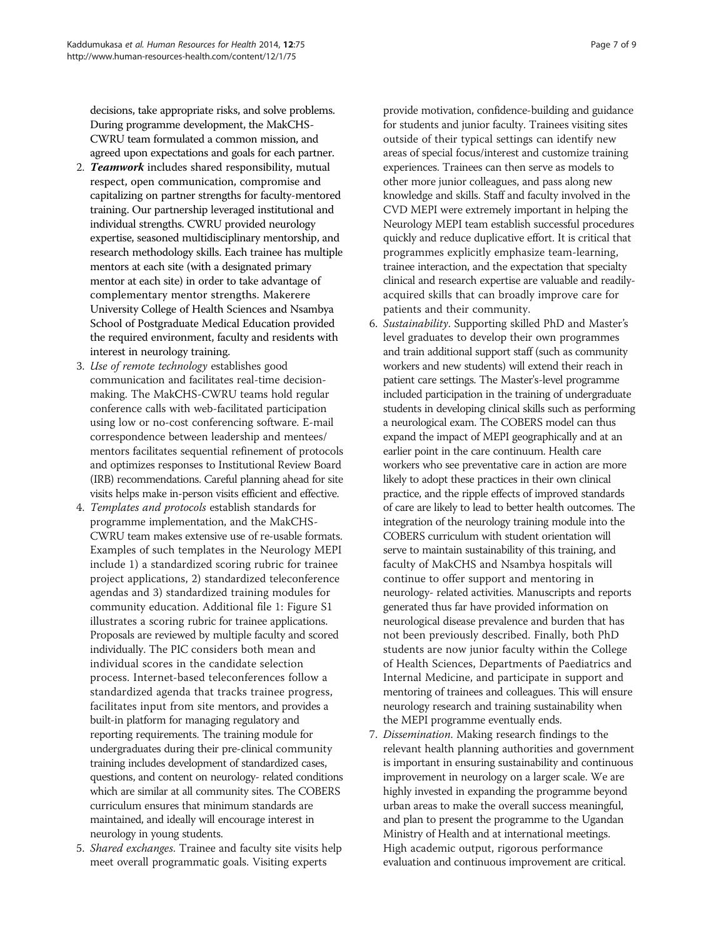decisions, take appropriate risks, and solve problems. During programme development, the MakCHS-CWRU team formulated a common mission, and agreed upon expectations and goals for each partner.

- 2. Teamwork includes shared responsibility, mutual respect, open communication, compromise and capitalizing on partner strengths for faculty-mentored training. Our partnership leveraged institutional and individual strengths. CWRU provided neurology expertise, seasoned multidisciplinary mentorship, and research methodology skills. Each trainee has multiple mentors at each site (with a designated primary mentor at each site) in order to take advantage of complementary mentor strengths. Makerere University College of Health Sciences and Nsambya School of Postgraduate Medical Education provided the required environment, faculty and residents with interest in neurology training.
- 3. Use of remote technology establishes good communication and facilitates real-time decisionmaking. The MakCHS-CWRU teams hold regular conference calls with web-facilitated participation using low or no-cost conferencing software. E-mail correspondence between leadership and mentees/ mentors facilitates sequential refinement of protocols and optimizes responses to Institutional Review Board (IRB) recommendations. Careful planning ahead for site visits helps make in-person visits efficient and effective.
- 4. Templates and protocols establish standards for programme implementation, and the MakCHS-CWRU team makes extensive use of re-usable formats. Examples of such templates in the Neurology MEPI include 1) a standardized scoring rubric for trainee project applications, 2) standardized teleconference agendas and 3) standardized training modules for community education. Additional file [1:](#page-7-0) Figure S1 illustrates a scoring rubric for trainee applications. Proposals are reviewed by multiple faculty and scored individually. The PIC considers both mean and individual scores in the candidate selection process. Internet-based teleconferences follow a standardized agenda that tracks trainee progress, facilitates input from site mentors, and provides a built-in platform for managing regulatory and reporting requirements. The training module for undergraduates during their pre-clinical community training includes development of standardized cases, questions, and content on neurology- related conditions which are similar at all community sites. The COBERS curriculum ensures that minimum standards are maintained, and ideally will encourage interest in neurology in young students.
- 5. Shared exchanges. Trainee and faculty site visits help meet overall programmatic goals. Visiting experts

provide motivation, confidence-building and guidance for students and junior faculty. Trainees visiting sites outside of their typical settings can identify new areas of special focus/interest and customize training experiences. Trainees can then serve as models to other more junior colleagues, and pass along new knowledge and skills. Staff and faculty involved in the CVD MEPI were extremely important in helping the Neurology MEPI team establish successful procedures quickly and reduce duplicative effort. It is critical that programmes explicitly emphasize team-learning, trainee interaction, and the expectation that specialty clinical and research expertise are valuable and readilyacquired skills that can broadly improve care for patients and their community.

- 6. Sustainability. Supporting skilled PhD and Master's level graduates to develop their own programmes and train additional support staff (such as community workers and new students) will extend their reach in patient care settings. The Master's-level programme included participation in the training of undergraduate students in developing clinical skills such as performing a neurological exam. The COBERS model can thus expand the impact of MEPI geographically and at an earlier point in the care continuum. Health care workers who see preventative care in action are more likely to adopt these practices in their own clinical practice, and the ripple effects of improved standards of care are likely to lead to better health outcomes. The integration of the neurology training module into the COBERS curriculum with student orientation will serve to maintain sustainability of this training, and faculty of MakCHS and Nsambya hospitals will continue to offer support and mentoring in neurology- related activities. Manuscripts and reports generated thus far have provided information on neurological disease prevalence and burden that has not been previously described. Finally, both PhD students are now junior faculty within the College of Health Sciences, Departments of Paediatrics and Internal Medicine, and participate in support and mentoring of trainees and colleagues. This will ensure neurology research and training sustainability when the MEPI programme eventually ends.
- 7. Dissemination. Making research findings to the relevant health planning authorities and government is important in ensuring sustainability and continuous improvement in neurology on a larger scale. We are highly invested in expanding the programme beyond urban areas to make the overall success meaningful, and plan to present the programme to the Ugandan Ministry of Health and at international meetings. High academic output, rigorous performance evaluation and continuous improvement are critical.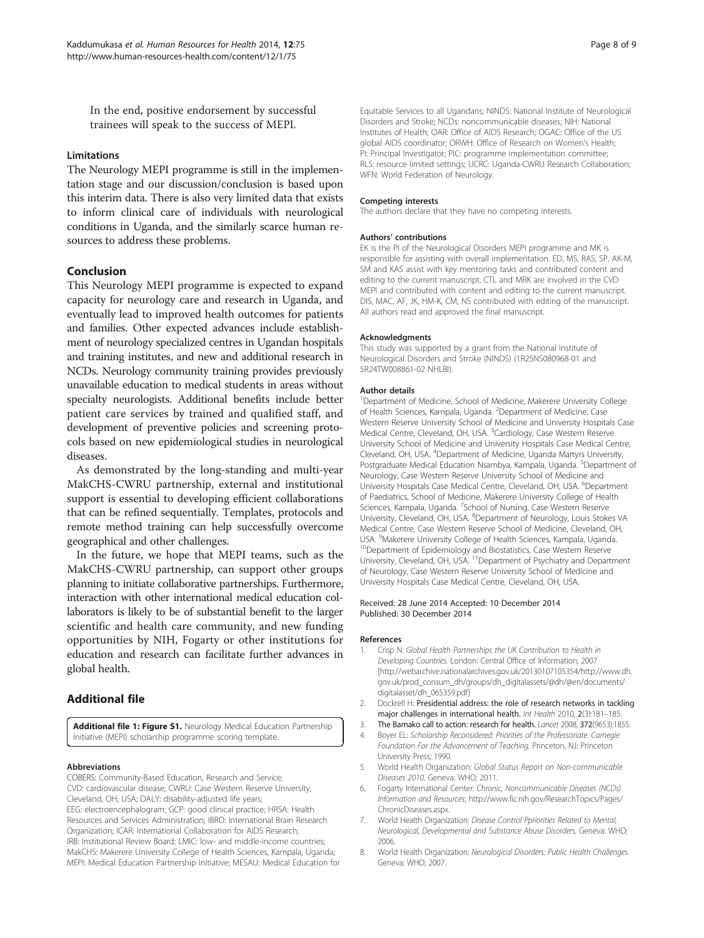<span id="page-7-0"></span>In the end, positive endorsement by successful trainees will speak to the success of MEPI.

#### Limitations

The Neurology MEPI programme is still in the implementation stage and our discussion/conclusion is based upon this interim data. There is also very limited data that exists to inform clinical care of individuals with neurological conditions in Uganda, and the similarly scarce human resources to address these problems.

#### Conclusion

This Neurology MEPI programme is expected to expand capacity for neurology care and research in Uganda, and eventually lead to improved health outcomes for patients and families. Other expected advances include establishment of neurology specialized centres in Ugandan hospitals and training institutes, and new and additional research in NCDs. Neurology community training provides previously unavailable education to medical students in areas without specialty neurologists. Additional benefits include better patient care services by trained and qualified staff, and development of preventive policies and screening protocols based on new epidemiological studies in neurological diseases.

As demonstrated by the long-standing and multi-year MakCHS-CWRU partnership, external and institutional support is essential to developing efficient collaborations that can be refined sequentially. Templates, protocols and remote method training can help successfully overcome geographical and other challenges.

In the future, we hope that MEPI teams, such as the MakCHS-CWRU partnership, can support other groups planning to initiate collaborative partnerships. Furthermore, interaction with other international medical education collaborators is likely to be of substantial benefit to the larger scientific and health care community, and new funding opportunities by NIH, Fogarty or other institutions for education and research can facilitate further advances in global health.

#### Additional file

[Additional file 1: Figure S1.](http://www.biomedcentral.com/content/supplementary/1478-4491-12-75-S1.pdf) Neurology Medical Education Partnership Initiative (MEPI) scholarship programme scoring template.

#### Abbreviations

COBERS: Community-Based Education, Research and Service; CVD: cardiovascular disease; CWRU: Case Western Reserve University, Cleveland, OH, USA; DALY: disability-adjusted life years; EEG: electroencephalogram; GCP: good clinical practice; HRSA: Health Resources and Services Administration; IBRO: International Brain Research Organization; ICAR: International Collaboration for AIDS Research; IRB: Institutional Review Board; LMIC: low- and middle-income countries; MakCHS: Makerere University College of Health Sciences, Kampala, Uganda; MEPI: Medical Education Partnership Initiative; MESAU: Medical Education for Equitable Services to all Ugandans; NINDS: National Institute of Neurological Disorders and Stroke; NCDs: noncommunicable diseases; NIH: National Institutes of Health; OAR: Office of AIDS Research; OGAC: Office of the US global AIDS coordinator; ORWH: Office of Research on Women's Health; PI: Principal Investigator; PIC: programme implementation committee; RLS: resource limited settings; UCRC: Uganda-CWRU Research Collaboration; WFN: World Federation of Neurology.

#### Competing interests

The authors declare that they have no competing interests.

#### Authors' contributions

EK is the PI of the Neurological Disorders MEPI programme and MK is responsible for assisting with overall implementation. ED, MS, RAS, SP, AK-M, SM and KAS assist with key mentoring tasks and contributed content and editing to the current manuscript. CTL and MRK are involved in the CVD MEPI and contributed with content and editing to the current manuscript. DIS, MAC, AF, JK, HM-K, CM, NS contributed with editing of the manuscript. All authors read and approved the final manuscript.

#### Acknowledgments

This study was supported by a grant from the National Institute of Neurological Disorders and Stroke (NINDS) (1R25NS080968-01 and 5R24TW008861-02 NHLBI).

#### Author details

<sup>1</sup>Department of Medicine, School of Medicine, Makerere University College of Health Sciences, Kampala, Uganda. <sup>2</sup>Department of Medicine, Case Western Reserve University School of Medicine and University Hospitals Case Medical Centre, Cleveland, OH, USA. <sup>3</sup>Cardiology, Case Western Reserve University School of Medicine and University Hospitals Case Medical Centre, Cleveland, OH, USA. <sup>4</sup>Department of Medicine, Uganda Martyrs University, Postgraduate Medical Education Nsambya, Kampala, Uganda. <sup>5</sup>Department of Neurology, Case Western Reserve University School of Medicine and University Hospitals Case Medical Centre, Cleveland, OH, USA. <sup>6</sup>Department of Paediatrics, School of Medicine, Makerere University College of Health Sciences, Kampala, Uganda. <sup>7</sup>School of Nursing, Case Western Reserve University, Cleveland, OH, USA. <sup>8</sup>Department of Neurology, Louis Stokes VA Medical Centre, Case Western Reserve School of Medicine, Cleveland, OH, USA. <sup>9</sup> Makerere University College of Health Sciences, Kampala, Uganda. <sup>10</sup>Department of Epidemiology and Biostatistics, Case Western Reserve University, Cleveland, OH, USA. <sup>11</sup>Department of Psychiatry and Department of Neurology, Case Western Reserve University School of Medicine and University Hospitals Case Medical Centre, Cleveland, OH, USA.

#### Received: 28 June 2014 Accepted: 10 December 2014 Published: 30 December 2014

#### References

- 1. Crisp N: Global Health Partnerships the UK Contribution to Health in Developing Countries. London: Central Office of Information; 2007 [[http://webarchive.nationalarchives.gov.uk/20130107105354/http://www.dh.](http://webarchive.nationalarchives.gov.uk/20130107105354/http://www.dh.gov.uk/prod_consum_dh/groups/dh_digitalassets/@dh/@en/documents/digitalasset/dh_065359.pdf) [gov.uk/prod\\_consum\\_dh/groups/dh\\_digitalassets/@dh/@en/documents/](http://webarchive.nationalarchives.gov.uk/20130107105354/http://www.dh.gov.uk/prod_consum_dh/groups/dh_digitalassets/@dh/@en/documents/digitalasset/dh_065359.pdf) [digitalasset/dh\\_065359.pdf](http://webarchive.nationalarchives.gov.uk/20130107105354/http://www.dh.gov.uk/prod_consum_dh/groups/dh_digitalassets/@dh/@en/documents/digitalasset/dh_065359.pdf)]
- 2. Dockrell H: Presidential address: the role of research networks in tackling major challenges in international health. Int Health 2010, 2(3):181–185.
- 3. The Bamako call to action: research for health. Lancet 2008, 372(9653):1855.
- 4. Boyer EL: Scholarship Reconsidered: Priorities of the Professoriate. Carnegie Foundation For the Advancement of Teaching. Princeton, NJ: Princeton University Press; 1990.
- 5. World Health Organization: Global Status Report on Non-communicable Diseases 2010. Geneva: WHO; 2011.
- 6. Fogarty International Center: Chronic, Noncommunicable Diseases (NCDs) Information and Resources; [http://www.fic.nih.gov/ResearchTopics/Pages/](http://www.fic.nih.gov/ResearchTopics/Pages/ChronicDiseases.aspx) [ChronicDiseases.aspx.](http://www.fic.nih.gov/ResearchTopics/Pages/ChronicDiseases.aspx)
- 7. World Health Organization: Disease Control Ppriorities Related to Mental, Neurological, Developmental and Substance Abuse Disorders. Geneva: WHO; 2006.
- 8. World Health Organization: Neurological Disorders: Public Health Challenges. Geneva: WHO; 2007.